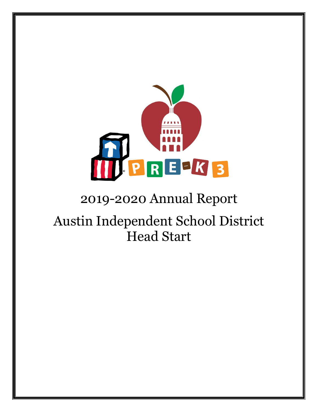

# 2019-2020 Annual Report

# Austin Independent School District Head Start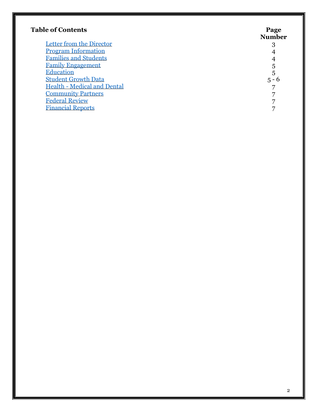| <b>Table of Contents</b>           | Page<br><b>Number</b> |
|------------------------------------|-----------------------|
| Letter from the Director           | 3                     |
| <b>Program Information</b>         |                       |
| <b>Families and Students</b>       |                       |
| <b>Family Engagement</b>           | 5                     |
| <b>Education</b>                   | 5                     |
| <b>Student Growth Data</b>         | $5 - 6$               |
| <b>Health - Medical and Dental</b> |                       |
| <b>Community Partners</b>          |                       |
| <b>Federal Review</b>              |                       |
| <b>Financial Reports</b>           |                       |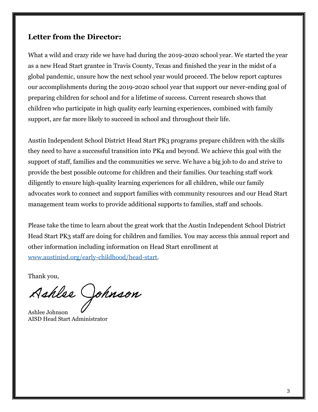#### <span id="page-2-0"></span>**Letter from the Director:**

What a wild and crazy ride we have had during the 2019-2020 school year. We started the year as a new Head Start grantee in Travis County, Texas and finished the year in the midst of a global pandemic, unsure how the next school year would proceed. The below report captures our accomplishments during the 2019-2020 school year that support our never-ending goal of preparing children for school and for a lifetime of success. Current research shows that children who participate in high quality early learning experiences, combined with family support, are far more likely to succeed in school and throughout their life.

Austin Independent School District Head Start PK3 programs prepare children with the skills they need to have a successful transition into PK4 and beyond. We achieve this goal with the support of staff, families and the communities we serve. We have a big job to do and strive to provide the best possible outcome for children and their families. Our teaching staff work diligently to ensure high-quality learning experiences for all children, while our family advocates work to connect and support families with community resources and our Head Start management team works to provide additional supports to families, staff and schools.

Please take the time to learn about the great work that the Austin Independent School District Head Start PK3 staff are doing for children and families. You may access this annual report and other information including information on Head Start enrollment at [www.austinisd.org/early-childhood/head-start.](https://www.austinisd.org/early-childhood/head-start)

Thank you,

Ashlee Johnson

Ashlee Johnson AISD Head Start Administrator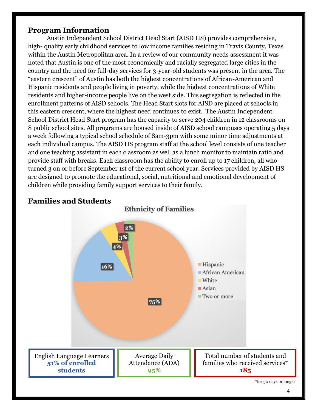#### <span id="page-3-0"></span>**Program Information**

Austin Independent School District Head Start (AISD HS) provides comprehensive, high- quality early childhood services to low income families residing in Travis County, Texas within the Austin Metropolitan area. In a review of our community needs assessment it was noted that Austin is one of the most economically and racially segregated large cities in the country and the need for full-day services for 3-year-old students was present in the area. The "eastern crescent" of Austin has both the highest concentrations of African-American and Hispanic residents and people living in poverty, while the highest concentrations of White residents and higher-income people live on the west side. This segregation is reflected in the enrollment patterns of AISD schools. The Head Start slots for AISD are placed at schools in this eastern crescent, where the highest need continues to exist. The Austin Independent School District Head Start program has the capacity to serve 204 children in 12 classrooms on 8 public school sites. All programs are housed inside of AISD school campuses operating 5 days a week following a typical school schedule of 8am-3pm with some minor time adjustments at each individual campus. The AISD HS program staff at the school level consists of one teacher and one teaching assistant in each classroom as well as a lunch monitor to maintain ratio and provide staff with breaks. Each classroom has the ability to enroll up to 17 children, all who turned 3 on or before September 1st of the current school year. Services provided by AISD HS are designed to promote the educational, social, nutritional and emotional development of children while providing family support services to their family.

**Ethnicity of Families** 



# <span id="page-3-1"></span>**Families and Students**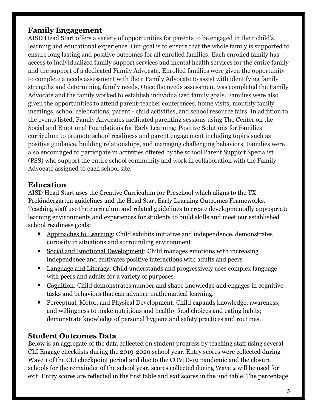### <span id="page-4-0"></span>**Family Engagement**

AISD Head Start offers a variety of opportunities for parents to be engaged in their child's learning and educational experience. Our goal is to ensure that the whole family is supported to ensure long lasting and positive outcomes for all enrolled families. Each enrolled family has access to individualized family support services and mental health services for the entire family and the support of a dedicated Family Advocate. Enrolled families were given the opportunity to complete a needs assessment with their Family Advocate to assist with identifying family strengths and determining family needs. Once the needs assessment was completed the Family Advocate and the family worked to establish individualized family goals. Families were also given the opportunities to attend parent-teacher conferences, home visits, monthly family meetings, school celebrations, parent - child activities, and school resource fairs. In addition to the events listed, Family Advocates facilitated parenting sessions using The Center on the Social and Emotional Foundations for Early Learning: Positive Solutions for Families curriculum to promote school readiness and parent engagement including topics such as positive guidance, building relationships, and managing challenging behaviors. Families were also encouraged to participate in activities offered by the school Parent Support Specialist (PSS) who support the entire school community and work in collaboration with the Family Advocate assigned to each school site.

# <span id="page-4-1"></span>**Education**

AISD Head Start uses the Creative Curriculum for Preschool which aligns to the TX Prekindergarten guidelines and the Head Start Early Learning Outcomes Frameworks. Teaching staff use the curriculum and related guidelines to create developmentally appropriate learning environments and experiences for students to build skills and meet our established school readiness goals:

- **EXECUTE:** Approaches to Learning: Child exhibits initiative and independence, demonstrates curiosity in situations and surrounding environment
- Social and Emotional Development: Child manages emotions with increasing independence and cultivates positive interactions with adults and peers
- Language and Literacy: Child understands and progressively uses complex language with peers and adults for a variety of purposes
- Cognition: Child demonstrates number and shape knowledge and engages in cognitive tasks and behaviors that can advance mathematical learning.
- **Perceptual, Motor, and Physical Development: Child expands knowledge, awareness,** and willingness to make nutritious and healthy food choices and eating habits; demonstrate knowledge of personal hygiene and safety practices and routines.

# <span id="page-4-2"></span>**Student Outcomes Data**

Below is an aggregate of the data collected on student progress by teaching staff using several CLI Engage checklists during the 2019-2020 school year. Entry scores were collected during Wave 1 of the CLI checkpoint period and due to the COVID-19 pandemic and the closure schools for the remainder of the school year, scores collected during Wave 2 will be used for exit. Entry scores are reflected in the first table and exit scores in the 2nd table. The percentage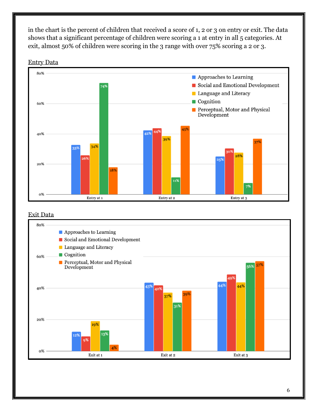in the chart is the percent of children that received a score of 1, 2 or 3 on entry or exit. The data shows that a significant percentage of children were scoring a 1 at entry in all 5 categories. At exit, almost 50% of children were scoring in the 3 range with over 75% scoring a 2 or 3.





#### Exit Data

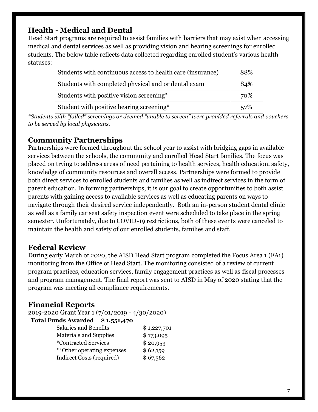# <span id="page-6-0"></span>**Health - Medical and Dental**

Head Start programs are required to assist families with barriers that may exist when accessing medical and dental services as well as providing vision and hearing screenings for enrolled students. The below table reflects data collected regarding enrolled student's various health statuses:

| Students with continuous access to health care (insurance) | 88% |
|------------------------------------------------------------|-----|
| Students with completed physical and or dental exam        | 84% |
| Students with positive vision screening*                   | 70% |
| Student with positive hearing screening*                   | 57% |

*\*Students with "failed" screenings or deemed "unable to screen" were provided referrals and vouchers to be served by local physicians.* 

# <span id="page-6-1"></span>**Community Partnerships**

Partnerships were formed throughout the school year to assist with bridging gaps in available services between the schools, the community and enrolled Head Start families. The focus was placed on trying to address areas of need pertaining to health services, health education, safety, knowledge of community resources and overall access. Partnerships were formed to provide both direct services to enrolled students and families as well as indirect services in the form of parent education. In forming partnerships, it is our goal to create opportunities to both assist parents with gaining access to available services as well as educating parents on ways to navigate through their desired service independently. Both an in-person student dental clinic as well as a family car seat safety inspection event were scheduled to take place in the spring semester. Unfortunately, due to COVID-19 restrictions, both of these events were canceled to maintain the health and safety of our enrolled students, families and staff.

### <span id="page-6-2"></span>**Federal Review**

During early March of 2020, the AISD Head Start program completed the Focus Area 1 (FA1) monitoring from the Office of Head Start. The monitoring consisted of a review of current program practices, education services, family engagement practices as well as fiscal processes and program management. The final report was sent to AISD in May of 2020 stating that the program was meeting all compliance requirements.

### <span id="page-6-3"></span>**Financial Reports**

2019-2020 Grant Year 1 (7/01/2019 - 4/30/2020)

#### **Total Funds Awarded \$ 1,551,470**

| Salaries and Benefits         | \$1,227,701 |
|-------------------------------|-------------|
| <b>Materials and Supplies</b> | \$173,095   |
| <i>*</i> Contracted Services  | \$20,953    |
| **Other operating expenses    | \$62,159    |
| Indirect Costs (required)     | \$67,562    |